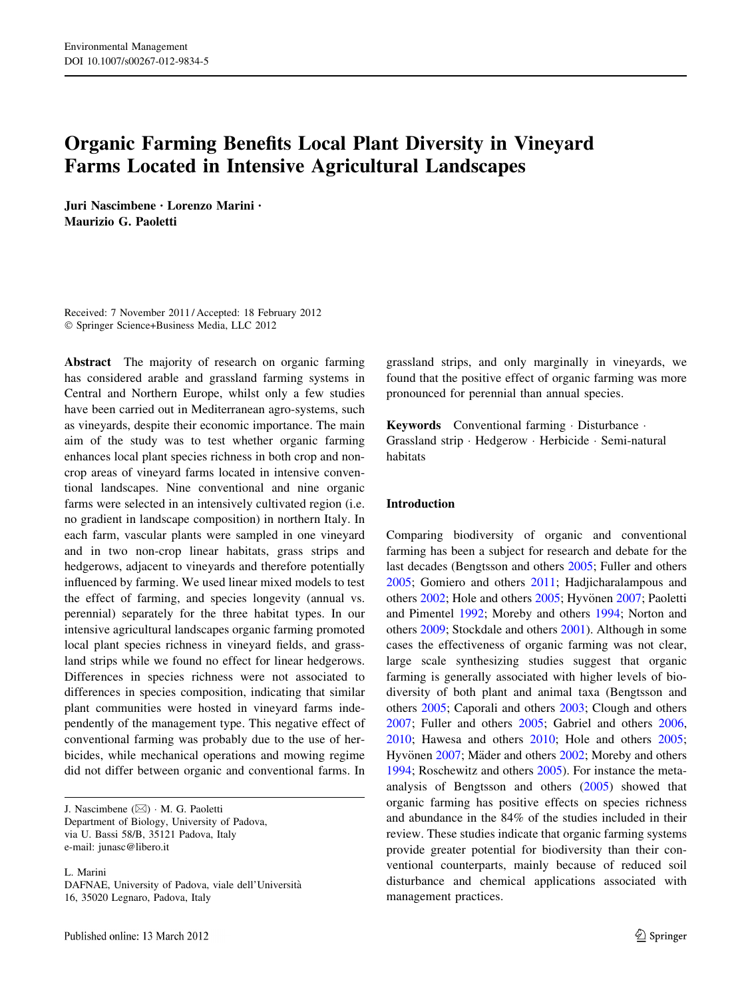# Organic Farming Benefits Local Plant Diversity in Vineyard Farms Located in Intensive Agricultural Landscapes

Juri Nascimbene • Lorenzo Marini • Maurizio G. Paoletti

Received: 7 November 2011 / Accepted: 18 February 2012 - Springer Science+Business Media, LLC 2012

Abstract The majority of research on organic farming has considered arable and grassland farming systems in Central and Northern Europe, whilst only a few studies have been carried out in Mediterranean agro-systems, such as vineyards, despite their economic importance. The main aim of the study was to test whether organic farming enhances local plant species richness in both crop and noncrop areas of vineyard farms located in intensive conventional landscapes. Nine conventional and nine organic farms were selected in an intensively cultivated region (i.e. no gradient in landscape composition) in northern Italy. In each farm, vascular plants were sampled in one vineyard and in two non-crop linear habitats, grass strips and hedgerows, adjacent to vineyards and therefore potentially influenced by farming. We used linear mixed models to test the effect of farming, and species longevity (annual vs. perennial) separately for the three habitat types. In our intensive agricultural landscapes organic farming promoted local plant species richness in vineyard fields, and grassland strips while we found no effect for linear hedgerows. Differences in species richness were not associated to differences in species composition, indicating that similar plant communities were hosted in vineyard farms independently of the management type. This negative effect of conventional farming was probably due to the use of herbicides, while mechanical operations and mowing regime did not differ between organic and conventional farms. In

J. Nascimbene (&) - M. G. Paoletti Department of Biology, University of Padova, via U. Bassi 58/B, 35121 Padova, Italy e-mail: junasc@libero.it

L. Marini

DAFNAE, University of Padova, viale dell'Universita` 16, 35020 Legnaro, Padova, Italy

grassland strips, and only marginally in vineyards, we found that the positive effect of organic farming was more pronounced for perennial than annual species.

Keywords Conventional farming - Disturbance - Grassland strip - Hedgerow - Herbicide - Semi-natural habitats

### Introduction

Comparing biodiversity of organic and conventional farming has been a subject for research and debate for the last decades (Bengtsson and others [2005;](#page-5-0) Fuller and others [2005](#page-5-0); Gomiero and others [2011;](#page-5-0) Hadjicharalampous and others [2002](#page-5-0); Hole and others [2005](#page-5-0); Hyvönen [2007](#page-5-0); Paoletti and Pimentel [1992;](#page-6-0) Moreby and others [1994](#page-6-0); Norton and others [2009](#page-6-0); Stockdale and others [2001](#page-6-0)). Although in some cases the effectiveness of organic farming was not clear, large scale synthesizing studies suggest that organic farming is generally associated with higher levels of biodiversity of both plant and animal taxa (Bengtsson and others [2005;](#page-5-0) Caporali and others [2003](#page-5-0); Clough and others [2007](#page-5-0); Fuller and others [2005;](#page-5-0) Gabriel and others [2006,](#page-5-0) [2010](#page-5-0); Hawesa and others [2010;](#page-5-0) Hole and others [2005](#page-5-0); Hyvönen [2007](#page-5-0); Mäder and others [2002](#page-5-0); Moreby and others [1994](#page-6-0); Roschewitz and others [2005\)](#page-6-0). For instance the metaanalysis of Bengtsson and others ([2005\)](#page-5-0) showed that organic farming has positive effects on species richness and abundance in the 84% of the studies included in their review. These studies indicate that organic farming systems provide greater potential for biodiversity than their conventional counterparts, mainly because of reduced soil disturbance and chemical applications associated with management practices.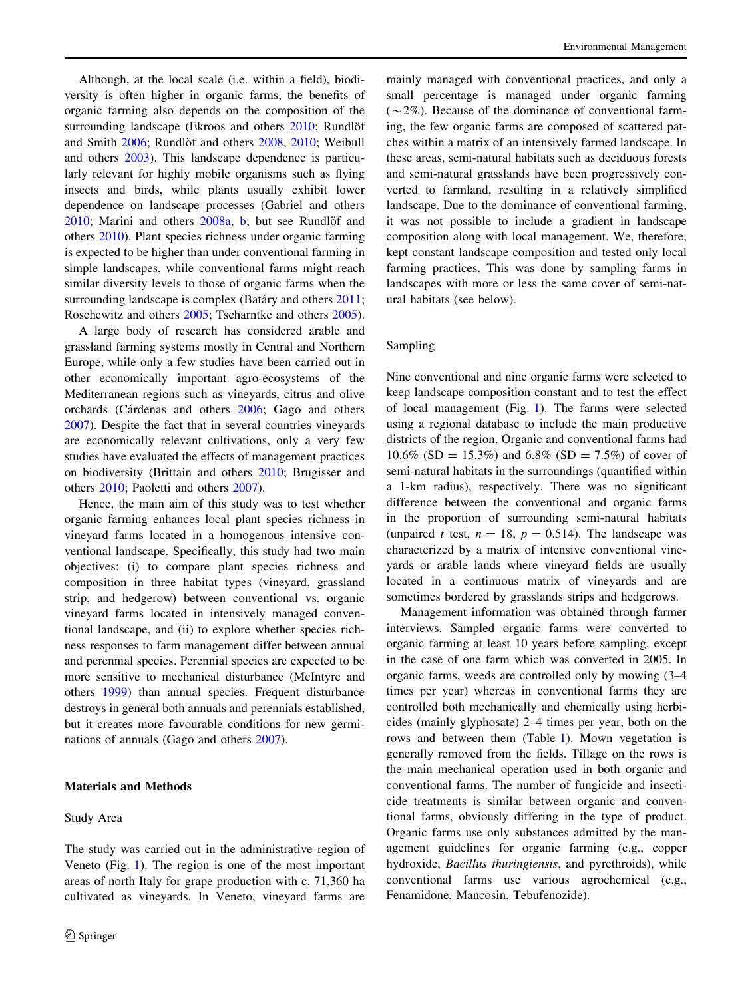Although, at the local scale (i.e. within a field), biodiversity is often higher in organic farms, the benefits of organic farming also depends on the composition of the surrounding landscape (Ekroos and others  $2010$ ; Rundlöf and Smith [2006](#page-6-0); Rundlöf and others [2008,](#page-6-0) [2010;](#page-6-0) Weibull and others [2003\)](#page-6-0). This landscape dependence is particularly relevant for highly mobile organisms such as flying insects and birds, while plants usually exhibit lower dependence on landscape processes (Gabriel and others  $2010$ ; Marini and others  $2008a$ , [b](#page-5-0); but see Rundlöf and others [2010](#page-6-0)). Plant species richness under organic farming is expected to be higher than under conventional farming in simple landscapes, while conventional farms might reach similar diversity levels to those of organic farms when the surrounding landscape is complex (Bata<sup>ry</sup> and others [2011](#page-5-0); Roschewitz and others [2005](#page-6-0); Tscharntke and others [2005](#page-6-0)).

A large body of research has considered arable and grassland farming systems mostly in Central and Northern Europe, while only a few studies have been carried out in other economically important agro-ecosystems of the Mediterranean regions such as vineyards, citrus and olive orchards (Cárdenas and others [2006](#page-5-0); Gago and others [2007\)](#page-5-0). Despite the fact that in several countries vineyards are economically relevant cultivations, only a very few studies have evaluated the effects of management practices on biodiversity (Brittain and others [2010;](#page-5-0) Brugisser and others [2010;](#page-5-0) Paoletti and others [2007](#page-6-0)).

Hence, the main aim of this study was to test whether organic farming enhances local plant species richness in vineyard farms located in a homogenous intensive conventional landscape. Specifically, this study had two main objectives: (i) to compare plant species richness and composition in three habitat types (vineyard, grassland strip, and hedgerow) between conventional vs. organic vineyard farms located in intensively managed conventional landscape, and (ii) to explore whether species richness responses to farm management differ between annual and perennial species. Perennial species are expected to be more sensitive to mechanical disturbance (McIntyre and others [1999\)](#page-5-0) than annual species. Frequent disturbance destroys in general both annuals and perennials established, but it creates more favourable conditions for new germinations of annuals (Gago and others [2007\)](#page-5-0).

# Materials and Methods

# Study Area

The study was carried out in the administrative region of Veneto (Fig. [1](#page-2-0)). The region is one of the most important areas of north Italy for grape production with c. 71,360 ha cultivated as vineyards. In Veneto, vineyard farms are mainly managed with conventional practices, and only a small percentage is managed under organic farming  $(\sim 2\%)$ . Because of the dominance of conventional farming, the few organic farms are composed of scattered patches within a matrix of an intensively farmed landscape. In these areas, semi-natural habitats such as deciduous forests and semi-natural grasslands have been progressively converted to farmland, resulting in a relatively simplified landscape. Due to the dominance of conventional farming, it was not possible to include a gradient in landscape composition along with local management. We, therefore, kept constant landscape composition and tested only local farming practices. This was done by sampling farms in landscapes with more or less the same cover of semi-natural habitats (see below).

# Sampling

Nine conventional and nine organic farms were selected to keep landscape composition constant and to test the effect of local management (Fig. [1\)](#page-2-0). The farms were selected using a regional database to include the main productive districts of the region. Organic and conventional farms had  $10.6\%$  (SD = 15.3%) and 6.8% (SD = 7.5%) of cover of semi-natural habitats in the surroundings (quantified within a 1-km radius), respectively. There was no significant difference between the conventional and organic farms in the proportion of surrounding semi-natural habitats (unpaired t test,  $n = 18$ ,  $p = 0.514$ ). The landscape was characterized by a matrix of intensive conventional vineyards or arable lands where vineyard fields are usually located in a continuous matrix of vineyards and are sometimes bordered by grasslands strips and hedgerows.

Management information was obtained through farmer interviews. Sampled organic farms were converted to organic farming at least 10 years before sampling, except in the case of one farm which was converted in 2005. In organic farms, weeds are controlled only by mowing (3–4 times per year) whereas in conventional farms they are controlled both mechanically and chemically using herbicides (mainly glyphosate) 2–4 times per year, both on the rows and between them (Table [1](#page-2-0)). Mown vegetation is generally removed from the fields. Tillage on the rows is the main mechanical operation used in both organic and conventional farms. The number of fungicide and insecticide treatments is similar between organic and conventional farms, obviously differing in the type of product. Organic farms use only substances admitted by the management guidelines for organic farming (e.g., copper hydroxide, Bacillus thuringiensis, and pyrethroids), while conventional farms use various agrochemical (e.g., Fenamidone, Mancosin, Tebufenozide).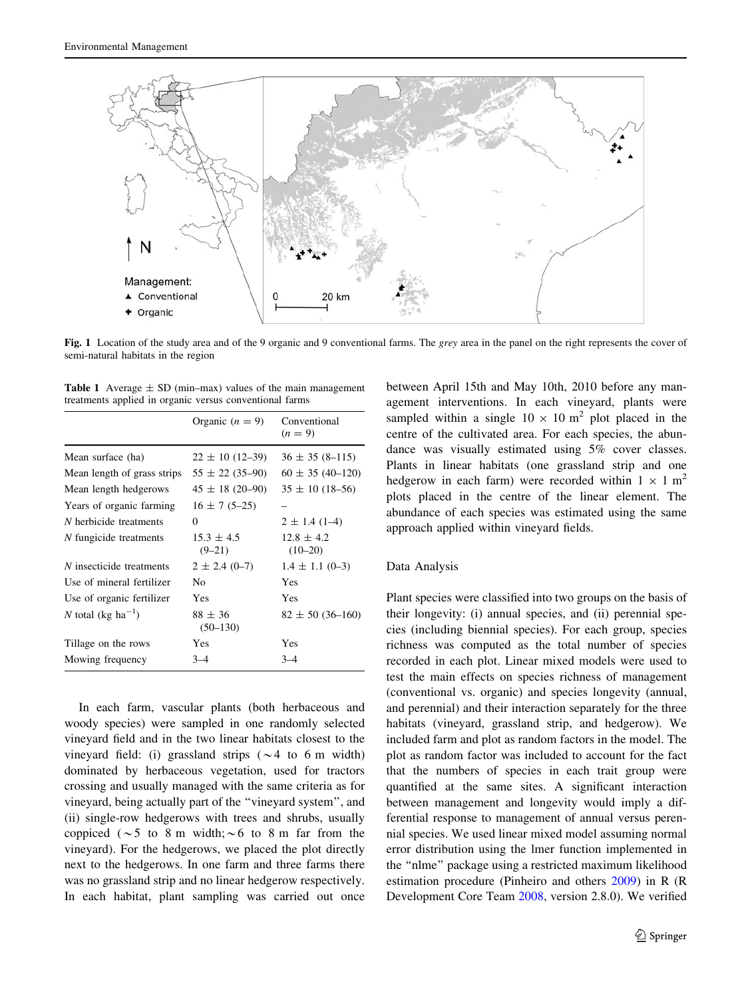<span id="page-2-0"></span>

Fig. 1 Location of the study area and of the 9 organic and 9 conventional farms. The grey area in the panel on the right represents the cover of semi-natural habitats in the region

|  |                                                         |  | <b>Table 1</b> Average $\pm$ SD (min-max) values of the main management |
|--|---------------------------------------------------------|--|-------------------------------------------------------------------------|
|  | treatments applied in organic versus conventional farms |  |                                                                         |

|                                | Organic $(n = 9)$          | Conventional<br>$(n = 9)$   |
|--------------------------------|----------------------------|-----------------------------|
| Mean surface (ha)              | $22 \pm 10$ (12-39)        | $36 \pm 35 (8 - 115)$       |
| Mean length of grass strips    | $55 \pm 22 (35 - 90)$      | $60 \pm 35(40 - 120)$       |
| Mean length hedgerows          | $45 \pm 18$ (20-90)        | $35 \pm 10$ (18-56)         |
| Years of organic farming       | $16 \pm 7(5-25)$           |                             |
| N herbicide treatments         | 0                          | $2 \pm 1.4$ (1–4)           |
| N fungicide treatments         | $15.3 \pm 4.5$<br>$(9-21)$ | $12.8 \pm 4.2$<br>$(10-20)$ |
| N insecticide treatments       | $2 \pm 2.4$ (0-7)          | $1.4 \pm 1.1$ (0-3)         |
| Use of mineral fertilizer      | No                         | Yes                         |
| Use of organic fertilizer      | Yes                        | Yes                         |
| N total (kg ha <sup>-1</sup> ) | $88 \pm 36$<br>$(50-130)$  | $82 \pm 50$ (36-160)        |
| Tillage on the rows            | Yes                        | Yes                         |
| Mowing frequency               | $3 - 4$                    | $3 - 4$                     |

In each farm, vascular plants (both herbaceous and woody species) were sampled in one randomly selected vineyard field and in the two linear habitats closest to the vineyard field: (i) grassland strips  $(\sim 4$  to 6 m width) dominated by herbaceous vegetation, used for tractors crossing and usually managed with the same criteria as for vineyard, being actually part of the ''vineyard system'', and (ii) single-row hedgerows with trees and shrubs, usually coppiced ( $\sim$ 5 to 8 m width; $\sim$ 6 to 8 m far from the vineyard). For the hedgerows, we placed the plot directly next to the hedgerows. In one farm and three farms there was no grassland strip and no linear hedgerow respectively. In each habitat, plant sampling was carried out once between April 15th and May 10th, 2010 before any management interventions. In each vineyard, plants were sampled within a single  $10 \times 10$  m<sup>2</sup> plot placed in the centre of the cultivated area. For each species, the abundance was visually estimated using 5% cover classes. Plants in linear habitats (one grassland strip and one hedgerow in each farm) were recorded within  $1 \times 1$  m<sup>2</sup> plots placed in the centre of the linear element. The abundance of each species was estimated using the same approach applied within vineyard fields.

# Data Analysis

Plant species were classified into two groups on the basis of their longevity: (i) annual species, and (ii) perennial species (including biennial species). For each group, species richness was computed as the total number of species recorded in each plot. Linear mixed models were used to test the main effects on species richness of management (conventional vs. organic) and species longevity (annual, and perennial) and their interaction separately for the three habitats (vineyard, grassland strip, and hedgerow). We included farm and plot as random factors in the model. The plot as random factor was included to account for the fact that the numbers of species in each trait group were quantified at the same sites. A significant interaction between management and longevity would imply a differential response to management of annual versus perennial species. We used linear mixed model assuming normal error distribution using the lmer function implemented in the ''nlme'' package using a restricted maximum likelihood estimation procedure (Pinheiro and others [2009](#page-6-0)) in R (R Development Core Team [2008,](#page-6-0) version 2.8.0). We verified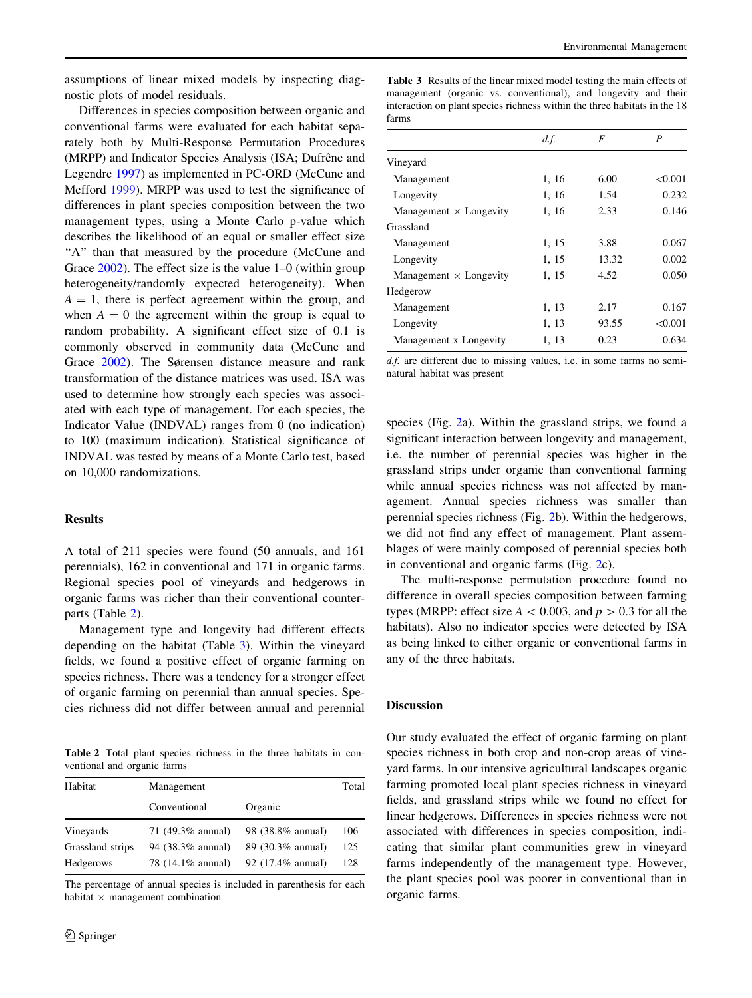assumptions of linear mixed models by inspecting diagnostic plots of model residuals.

Differences in species composition between organic and conventional farms were evaluated for each habitat separately both by Multi-Response Permutation Procedures (MRPP) and Indicator Species Analysis (ISA; Dufrêne and Legendre [1997\)](#page-5-0) as implemented in PC-ORD (McCune and Mefford [1999](#page-5-0)). MRPP was used to test the significance of differences in plant species composition between the two management types, using a Monte Carlo p-value which describes the likelihood of an equal or smaller effect size "A" than that measured by the procedure (McCune and Grace [2002\)](#page-5-0). The effect size is the value 1–0 (within group heterogeneity/randomly expected heterogeneity). When  $A = 1$ , there is perfect agreement within the group, and when  $A = 0$  the agreement within the group is equal to random probability. A significant effect size of 0.1 is commonly observed in community data (McCune and Grace [2002](#page-5-0)). The Sørensen distance measure and rank transformation of the distance matrices was used. ISA was used to determine how strongly each species was associated with each type of management. For each species, the Indicator Value (INDVAL) ranges from 0 (no indication) to 100 (maximum indication). Statistical significance of INDVAL was tested by means of a Monte Carlo test, based on 10,000 randomizations.

#### **Results**

A total of 211 species were found (50 annuals, and 161 perennials), 162 in conventional and 171 in organic farms. Regional species pool of vineyards and hedgerows in organic farms was richer than their conventional counterparts (Table 2).

Management type and longevity had different effects depending on the habitat (Table 3). Within the vineyard fields, we found a positive effect of organic farming on species richness. There was a tendency for a stronger effect of organic farming on perennial than annual species. Species richness did not differ between annual and perennial

Table 2 Total plant species richness in the three habitats in conventional and organic farms

| Habitat          | Management        |                   |     |  |
|------------------|-------------------|-------------------|-----|--|
|                  | Conventional      | Organic           |     |  |
| Vineyards        | 71 (49.3% annual) | 98 (38.8% annual) | 106 |  |
| Grassland strips | 94 (38.3% annual) | 89 (30.3% annual) | 125 |  |
| Hedgerows        | 78 (14.1% annual) | 92 (17.4% annual) | 128 |  |

The percentage of annual species is included in parenthesis for each habitat  $\times$  management combination

Table 3 Results of the linear mixed model testing the main effects of management (organic vs. conventional), and longevity and their interaction on plant species richness within the three habitats in the 18 farms

|                               | d.f.  | F     | P       |
|-------------------------------|-------|-------|---------|
| Vineyard                      |       |       |         |
| Management                    | 1, 16 | 6.00  | < 0.001 |
| Longevity                     | 1, 16 | 1.54  | 0.232   |
| Management $\times$ Longevity | 1, 16 | 2.33  | 0.146   |
| Grassland                     |       |       |         |
| Management                    | 1, 15 | 3.88  | 0.067   |
| Longevity                     | 1, 15 | 13.32 | 0.002   |
| Management $\times$ Longevity | 1, 15 | 4.52  | 0.050   |
| Hedgerow                      |       |       |         |
| Management                    | 1, 13 | 2.17  | 0.167   |
| Longevity                     | 1, 13 | 93.55 | < 0.001 |
| Management x Longevity        | 1, 13 | 0.23  | 0.634   |

d.f. are different due to missing values, i.e. in some farms no seminatural habitat was present

species (Fig. [2](#page-4-0)a). Within the grassland strips, we found a significant interaction between longevity and management, i.e. the number of perennial species was higher in the grassland strips under organic than conventional farming while annual species richness was not affected by management. Annual species richness was smaller than perennial species richness (Fig. [2](#page-4-0)b). Within the hedgerows, we did not find any effect of management. Plant assemblages of were mainly composed of perennial species both in conventional and organic farms (Fig. [2](#page-4-0)c).

The multi-response permutation procedure found no difference in overall species composition between farming types (MRPP: effect size  $A < 0.003$ , and  $p > 0.3$  for all the habitats). Also no indicator species were detected by ISA as being linked to either organic or conventional farms in any of the three habitats.

# Discussion

Our study evaluated the effect of organic farming on plant species richness in both crop and non-crop areas of vineyard farms. In our intensive agricultural landscapes organic farming promoted local plant species richness in vineyard fields, and grassland strips while we found no effect for linear hedgerows. Differences in species richness were not associated with differences in species composition, indicating that similar plant communities grew in vineyard farms independently of the management type. However, the plant species pool was poorer in conventional than in organic farms.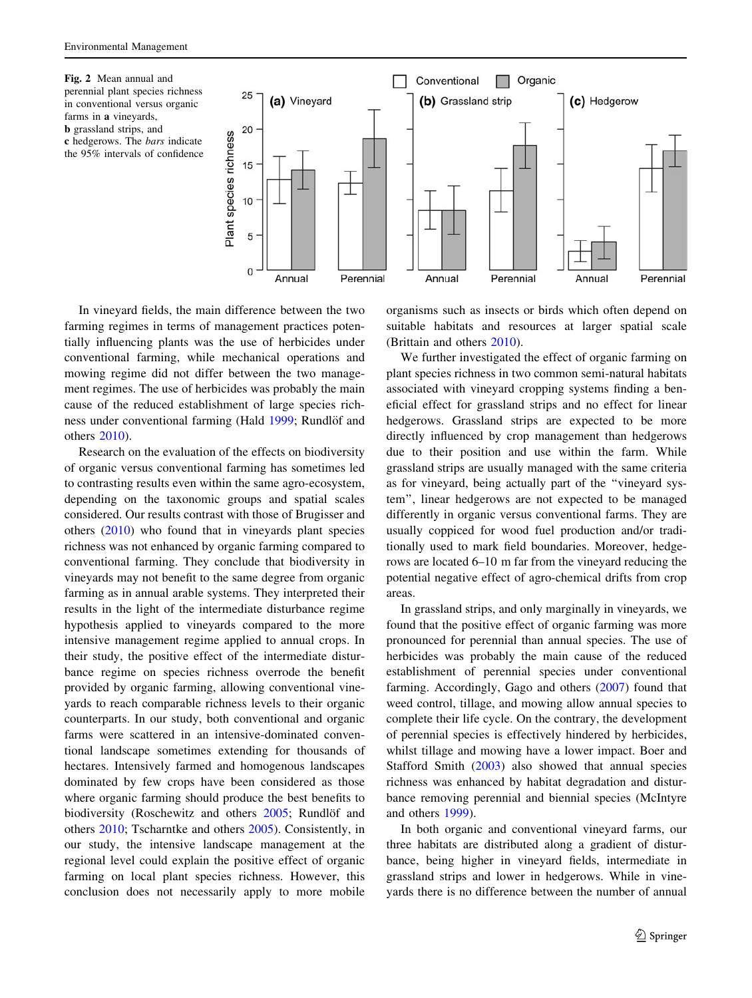<span id="page-4-0"></span>Fig. 2 Mean annual and perennial plant species richness in conventional versus organic farms in a vineyards, b grassland strips, and c hedgerows. The bars indicate the 95% intervals of confidence



In vineyard fields, the main difference between the two farming regimes in terms of management practices potentially influencing plants was the use of herbicides under conventional farming, while mechanical operations and mowing regime did not differ between the two management regimes. The use of herbicides was probably the main cause of the reduced establishment of large species rich-ness under conventional farming (Hald [1999;](#page-5-0) Rundlöf and others [2010\)](#page-6-0).

Research on the evaluation of the effects on biodiversity of organic versus conventional farming has sometimes led to contrasting results even within the same agro-ecosystem, depending on the taxonomic groups and spatial scales considered. Our results contrast with those of Brugisser and others [\(2010](#page-5-0)) who found that in vineyards plant species richness was not enhanced by organic farming compared to conventional farming. They conclude that biodiversity in vineyards may not benefit to the same degree from organic farming as in annual arable systems. They interpreted their results in the light of the intermediate disturbance regime hypothesis applied to vineyards compared to the more intensive management regime applied to annual crops. In their study, the positive effect of the intermediate disturbance regime on species richness overrode the benefit provided by organic farming, allowing conventional vineyards to reach comparable richness levels to their organic counterparts. In our study, both conventional and organic farms were scattered in an intensive-dominated conventional landscape sometimes extending for thousands of hectares. Intensively farmed and homogenous landscapes dominated by few crops have been considered as those where organic farming should produce the best benefits to biodiversity (Roschewitz and others [2005;](#page-6-0) Rundlöf and others [2010](#page-6-0); Tscharntke and others [2005\)](#page-6-0). Consistently, in our study, the intensive landscape management at the regional level could explain the positive effect of organic farming on local plant species richness. However, this conclusion does not necessarily apply to more mobile organisms such as insects or birds which often depend on suitable habitats and resources at larger spatial scale (Brittain and others [2010\)](#page-5-0).

We further investigated the effect of organic farming on plant species richness in two common semi-natural habitats associated with vineyard cropping systems finding a beneficial effect for grassland strips and no effect for linear hedgerows. Grassland strips are expected to be more directly influenced by crop management than hedgerows due to their position and use within the farm. While grassland strips are usually managed with the same criteria as for vineyard, being actually part of the ''vineyard system'', linear hedgerows are not expected to be managed differently in organic versus conventional farms. They are usually coppiced for wood fuel production and/or traditionally used to mark field boundaries. Moreover, hedgerows are located 6–10 m far from the vineyard reducing the potential negative effect of agro-chemical drifts from crop areas.

In grassland strips, and only marginally in vineyards, we found that the positive effect of organic farming was more pronounced for perennial than annual species. The use of herbicides was probably the main cause of the reduced establishment of perennial species under conventional farming. Accordingly, Gago and others [\(2007](#page-5-0)) found that weed control, tillage, and mowing allow annual species to complete their life cycle. On the contrary, the development of perennial species is effectively hindered by herbicides, whilst tillage and mowing have a lower impact. Boer and Stafford Smith ([2003\)](#page-5-0) also showed that annual species richness was enhanced by habitat degradation and disturbance removing perennial and biennial species (McIntyre and others [1999\)](#page-5-0).

In both organic and conventional vineyard farms, our three habitats are distributed along a gradient of disturbance, being higher in vineyard fields, intermediate in grassland strips and lower in hedgerows. While in vineyards there is no difference between the number of annual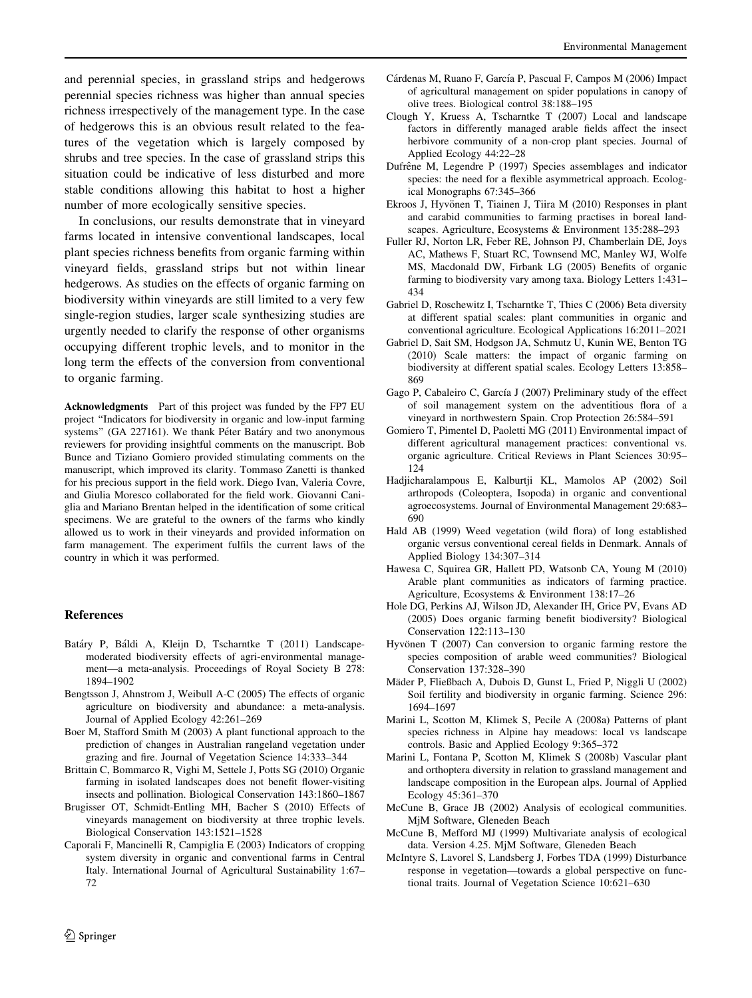<span id="page-5-0"></span>and perennial species, in grassland strips and hedgerows perennial species richness was higher than annual species richness irrespectively of the management type. In the case of hedgerows this is an obvious result related to the features of the vegetation which is largely composed by shrubs and tree species. In the case of grassland strips this situation could be indicative of less disturbed and more stable conditions allowing this habitat to host a higher number of more ecologically sensitive species.

In conclusions, our results demonstrate that in vineyard farms located in intensive conventional landscapes, local plant species richness benefits from organic farming within vineyard fields, grassland strips but not within linear hedgerows. As studies on the effects of organic farming on biodiversity within vineyards are still limited to a very few single-region studies, larger scale synthesizing studies are urgently needed to clarify the response of other organisms occupying different trophic levels, and to monitor in the long term the effects of the conversion from conventional to organic farming.

Acknowledgments Part of this project was funded by the FP7 EU project ''Indicators for biodiversity in organic and low-input farming systems" (GA 227161). We thank Péter Batáry and two anonymous reviewers for providing insightful comments on the manuscript. Bob Bunce and Tiziano Gomiero provided stimulating comments on the manuscript, which improved its clarity. Tommaso Zanetti is thanked for his precious support in the field work. Diego Ivan, Valeria Covre, and Giulia Moresco collaborated for the field work. Giovanni Caniglia and Mariano Brentan helped in the identification of some critical specimens. We are grateful to the owners of the farms who kindly allowed us to work in their vineyards and provided information on farm management. The experiment fulfils the current laws of the country in which it was performed.

#### References

- Batáry P, Báldi A, Kleijn D, Tscharntke T (2011) Landscapemoderated biodiversity effects of agri-environmental management—a meta-analysis. Proceedings of Royal Society B 278: 1894–1902
- Bengtsson J, Ahnstrom J, Weibull A-C (2005) The effects of organic agriculture on biodiversity and abundance: a meta-analysis. Journal of Applied Ecology 42:261–269
- Boer M, Stafford Smith M (2003) A plant functional approach to the prediction of changes in Australian rangeland vegetation under grazing and fire. Journal of Vegetation Science 14:333–344
- Brittain C, Bommarco R, Vighi M, Settele J, Potts SG (2010) Organic farming in isolated landscapes does not benefit flower-visiting insects and pollination. Biological Conservation 143:1860–1867
- Brugisser OT, Schmidt-Entling MH, Bacher S (2010) Effects of vineyards management on biodiversity at three trophic levels. Biological Conservation 143:1521–1528
- Caporali F, Mancinelli R, Campiglia E (2003) Indicators of cropping system diversity in organic and conventional farms in Central Italy. International Journal of Agricultural Sustainability 1:67– 72
- Cárdenas M, Ruano F, García P, Pascual F, Campos M (2006) Impact of agricultural management on spider populations in canopy of olive trees. Biological control 38:188–195
- Clough Y, Kruess A, Tscharntke T (2007) Local and landscape factors in differently managed arable fields affect the insect herbivore community of a non-crop plant species. Journal of Applied Ecology 44:22–28
- Dufrêne M, Legendre P (1997) Species assemblages and indicator species: the need for a flexible asymmetrical approach. Ecological Monographs 67:345–366
- Ekroos J, Hyvönen T, Tiainen J, Tiira M (2010) Responses in plant and carabid communities to farming practises in boreal landscapes. Agriculture, Ecosystems & Environment 135:288–293
- Fuller RJ, Norton LR, Feber RE, Johnson PJ, Chamberlain DE, Joys AC, Mathews F, Stuart RC, Townsend MC, Manley WJ, Wolfe MS, Macdonald DW, Firbank LG (2005) Benefits of organic farming to biodiversity vary among taxa. Biology Letters 1:431– 434
- Gabriel D, Roschewitz I, Tscharntke T, Thies C (2006) Beta diversity at different spatial scales: plant communities in organic and conventional agriculture. Ecological Applications 16:2011–2021
- Gabriel D, Sait SM, Hodgson JA, Schmutz U, Kunin WE, Benton TG (2010) Scale matters: the impact of organic farming on biodiversity at different spatial scales. Ecology Letters 13:858– 869
- Gago P, Cabaleiro C, García J (2007) Preliminary study of the effect of soil management system on the adventitious flora of a vineyard in northwestern Spain. Crop Protection 26:584–591
- Gomiero T, Pimentel D, Paoletti MG (2011) Environmental impact of different agricultural management practices: conventional vs. organic agriculture. Critical Reviews in Plant Sciences 30:95– 124
- Hadjicharalampous E, Kalburtji KL, Mamolos AP (2002) Soil arthropods (Coleoptera, Isopoda) in organic and conventional agroecosystems. Journal of Environmental Management 29:683– 690
- Hald AB (1999) Weed vegetation (wild flora) of long established organic versus conventional cereal fields in Denmark. Annals of Applied Biology 134:307–314
- Hawesa C, Squirea GR, Hallett PD, Watsonb CA, Young M (2010) Arable plant communities as indicators of farming practice. Agriculture, Ecosystems & Environment 138:17–26
- Hole DG, Perkins AJ, Wilson JD, Alexander IH, Grice PV, Evans AD (2005) Does organic farming benefit biodiversity? Biological Conservation 122:113–130
- Hyvönen T (2007) Can conversion to organic farming restore the species composition of arable weed communities? Biological Conservation 137:328–390
- Mäder P, Fließbach A, Dubois D, Gunst L, Fried P, Niggli U (2002) Soil fertility and biodiversity in organic farming. Science 296: 1694–1697
- Marini L, Scotton M, Klimek S, Pecile A (2008a) Patterns of plant species richness in Alpine hay meadows: local vs landscape controls. Basic and Applied Ecology 9:365–372
- Marini L, Fontana P, Scotton M, Klimek S (2008b) Vascular plant and orthoptera diversity in relation to grassland management and landscape composition in the European alps. Journal of Applied Ecology 45:361–370
- McCune B, Grace JB (2002) Analysis of ecological communities. MjM Software, Gleneden Beach
- McCune B, Mefford MJ (1999) Multivariate analysis of ecological data. Version 4.25. MjM Software, Gleneden Beach
- McIntyre S, Lavorel S, Landsberg J, Forbes TDA (1999) Disturbance response in vegetation—towards a global perspective on functional traits. Journal of Vegetation Science 10:621–630